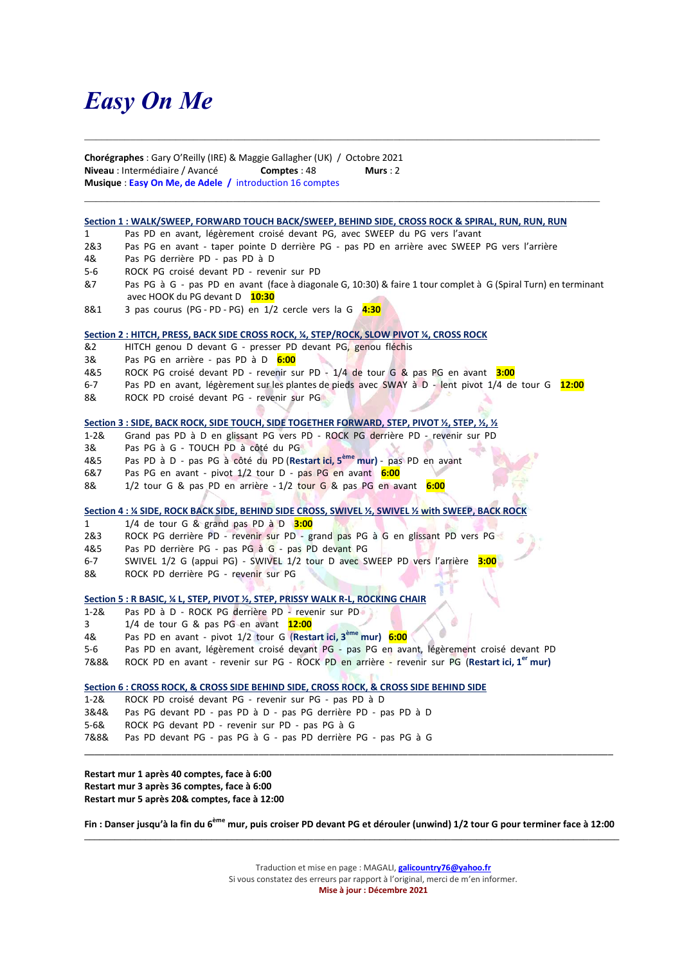# Easy On Me

Chorégraphes : Gary O'Reilly (IRE) & Maggie Gallagher (UK) / Octobre 2021 Niveau : Intermédiaire / Avancé Comptes : 48 Murs : 2 Musique : Easy On Me, de Adele / introduction 16 comptes

#### Section 1 : WALK/SWEEP, FORWARD TOUCH BACK/SWEEP, BEHIND SIDE, CROSS ROCK & SPIRAL, RUN, RUN, RUN

- 1 Pas PD en avant, légèrement croisé devant PG, avec SWEEP du PG vers l'avant
- 2&3 Pas PG en avant taper pointe D derrière PG pas PD en arrière avec SWEEP PG vers l'arrière
- 4& Pas PG derrière PD pas PD à D
- 5-6 ROCK PG croisé devant PD revenir sur PD
- &7 Pas PG à G pas PD en avant (face à diagonale G, 10:30) & faire 1 tour complet à G (Spiral Turn) en terminant avec HOOK du PG devant D 10:30

 $\mathcal{L}_\mathcal{L} = \{ \mathcal{L}_\mathcal{L} = \{ \mathcal{L}_\mathcal{L} = \{ \mathcal{L}_\mathcal{L} = \{ \mathcal{L}_\mathcal{L} = \{ \mathcal{L}_\mathcal{L} = \{ \mathcal{L}_\mathcal{L} = \{ \mathcal{L}_\mathcal{L} = \{ \mathcal{L}_\mathcal{L} = \{ \mathcal{L}_\mathcal{L} = \{ \mathcal{L}_\mathcal{L} = \{ \mathcal{L}_\mathcal{L} = \{ \mathcal{L}_\mathcal{L} = \{ \mathcal{L}_\mathcal{L} = \{ \mathcal{L}_\mathcal{$ 

8&1  $\quad$  3 pas courus (PG - PD - PG) en 1/2 cercle vers la G  $\frac{4:30}{4:30}$ 

#### Section 2 : HITCH, PRESS, BACK SIDE CROSS ROCK, ¼, STEP/ROCK, SLOW PIVOT ¼, CROSS ROCK

- &2 HITCH genou D devant G presser PD devant PG, genou fléchis
- 3& Pas PG en arrière pas PD à D 6:00
- 4&5 ROCK PG croisé devant PD revenir sur PD 1/4 de tour G & pas PG en avant 3:00
- 6-7 Pas PD en avant, légèrement sur les plantes de pieds avec SWAY à D lent pivot 1/4 de tour G 12:00
- 8& ROCK PD croisé devant PG revenir sur PG

#### Section 3 : SIDE, BACK ROCK, SIDE TOUCH, SIDE TOGETHER FORWARD, STEP, PIVOT ½, STEP, ½, ½

- 1-2& Grand pas PD à D en glissant PG vers PD ROCK PG derrière PD revenir sur PD
- 3& Pas PG à G TOUCH PD à côté du PG
- 4&5 Pas PD à D pas PG à côté du PD (Restart ici, 5<sup>ème</sup> mur) pas PD en avant
- 6&7 Pas PG en avant pivot 1/2 tour D pas PG en avant 6:00
- 8& 1/2 tour G & pas PD en arrière 1/2 tour G & pas PG en avant 6:00

Section 4 : ¼ SIDE, ROCK BACK SIDE, BEHIND SIDE CROSS, SWIVEL ½, SWIVEL ½ with SWEEP, BACK ROCK

- 1  $1/4$  de tour G & grand pas PD  $\frac{\lambda}{\lambda}$  D  $\frac{3:00}{1}$
- 2&3 ROCK PG derrière PD revenir sur PD grand pas PG à G en glissant PD vers PG
- 4&5 Pas PD derrière PG pas PG à G pas PD devant PG
- 6-7 SWIVEL 1/2 G (appui PG) SWIVEL 1/2 tour D avec SWEEP PD vers l'arrière 3:00
- 8& ROCK PD derrière PG revenir sur PG

#### Section 5 : R BASIC, ¼ L, STEP, PIVOT ½, STEP, PRISSY WALK R-L, ROCKING CHAIR

- 1-2& Pas PD à D ROCK PG derrière PD revenir sur PD
- $3$  1/4 de tour G & pas PG en avant  $12:00$
- 4& Pas PD en avant pivot 1/2 tour G (Restart ici, 3<sup>ème</sup> mur) 6:00
- 5-6 Pas PD en avant, légèrement croisé devant PG pas PG en avant, légèrement croisé devant PD
- 7&8& ROCK PD en avant revenir sur PG ROCK PD en arrière revenir sur PG (Restart ici, 1<sup>er</sup> mur)

#### Section 6 : CROSS ROCK, & CROSS SIDE BEHIND SIDE, CROSS ROCK, & CROSS SIDE BEHIND SIDE

- 1-2& ROCK PD croisé devant PG revenir sur PG pas PD à D
- 3&4& Pas PG devant PD pas PD à D pas PG derrière PD pas PD à D
- 5-6& ROCK PG devant PD revenir sur PD pas PG à G
- 7&8& Pas PD devant PG pas PG à G pas PD derrière PG pas PG à G

### Restart mur 1 après 40 comptes, face à 6:00 Restart mur 3 après 36 comptes, face à 6:00 Restart mur 5 après 20& comptes, face à 12:00

Fin : Danser jusqu'à la fin du 6<sup>ème</sup> mur, puis croiser PD devant PG et dérouler (unwind) 1/2 tour G pour terminer face à 12:00  $\_$  , and the state of the state of the state of the state of the state of the state of the state of the state of the state of the state of the state of the state of the state of the state of the state of the state of the

\_\_\_\_\_\_\_\_\_\_\_\_\_\_\_\_\_\_\_\_\_\_\_\_\_\_\_\_\_\_\_\_\_\_\_\_\_\_\_\_\_\_\_\_\_\_\_\_\_\_\_\_\_\_\_\_\_\_\_\_\_\_\_\_\_\_\_\_\_\_\_\_\_\_\_\_\_\_\_\_\_\_\_\_\_\_\_\_\_\_\_\_\_\_\_\_\_\_\_\_\_\_\_

Traduction et mise en page : MAGALI, **galicountry76@yahoo.fr** Si vous constatez des erreurs par rapport à l'original, merci de m'en informer. Mise à jour : Décembre 2021